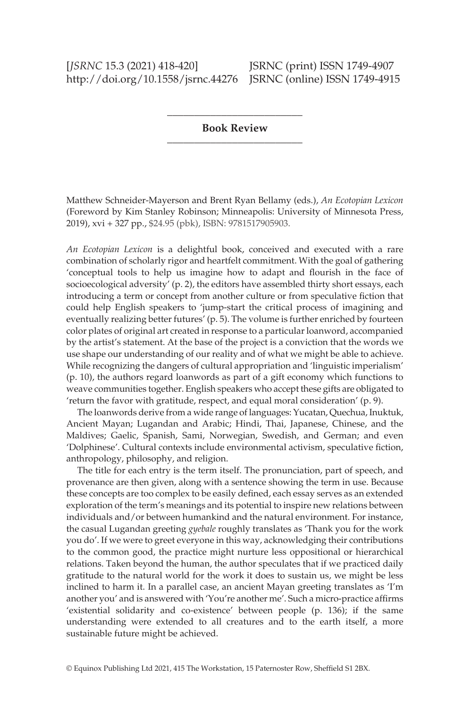## [*JSRNC* 15.3 (2021) 418-420] **JSRNC** (print) ISSN 1749-4907 http://doi.org/10.1558/jsrnc.44276 JSRNC (online) ISSN 1749-4915

\_\_\_\_\_\_\_\_\_\_\_\_\_\_\_\_\_\_\_\_\_\_\_\_\_ **Book Review** \_\_\_\_\_\_\_\_\_\_\_\_\_\_\_\_\_\_\_\_\_\_\_\_\_

Matthew Schneider-Mayerson and Brent Ryan Bellamy (eds.), *An Ecotopian Lexicon* (Foreword by Kim Stanley Robinson; Minneapolis: University of Minnesota Press, 2019), xvi + 327 pp., \$24.95 (pbk), ISBN: 9781517905903.

*An Ecotopian Lexicon* is a delightful book, conceived and executed with a rare combination of scholarly rigor and heartfelt commitment. With the goal of gathering 'conceptual tools to help us imagine how to adapt and flourish in the face of socioecological adversity' (p. 2), the editors have assembled thirty short essays, each introducing a term or concept from another culture or from speculative lction that could help English speakers to 'jump-start the critical process of imagining and eventually realizing better futures' (p. 5). The volume is further enriched by fourteen color plates of original art created in response to a particular loanword, accompanied by the artist's statement. At the base of the project is a conviction that the words we use shape our understanding of our reality and of what we might be able to achieve. While recognizing the dangers of cultural appropriation and 'linguistic imperialism' (p. 10), the authors regard loanwords as part of a gift economy which functions to weave communities together. English speakers who accept these gifts are obligated to 'return the favor with gratitude, respect, and equal moral consideration' (p. 9).

 The loanwords derive from a wide range of languages: Yucatan, Quechua, Inuktuk, Ancient Mayan; Lugandan and Arabic; Hindi, Thai, Japanese, Chinese, and the Maldives; Gaelic, Spanish, Sami, Norwegian, Swedish, and German; and even 'Dolphinese'. Cultural contexts include environmental activism, speculative fiction, anthropology, philosophy, and religion.

 The title for each entry is the term itself. The pronunciation, part of speech, and provenance are then given, along with a sentence showing the term in use. Because these concepts are too complex to be easily defined, each essay serves as an extended exploration of the term's meanings and its potential to inspire new relations between individuals and/or between humankind and the natural environment. For instance, the casual Lugandan greeting *gyebale* roughly translates as 'Thank you for the work you do'. If we were to greet everyone in this way, acknowledging their contributions to the common good, the practice might nurture less oppositional or hierarchical relations. Taken beyond the human, the author speculates that if we practiced daily gratitude to the natural world for the work it does to sustain us, we might be less inclined to harm it. In a parallel case, an ancient Mayan greeting translates as 'I'm another you' and is answered with 'You're another me'. Such a micro-practice aflrms 'existential solidarity and co-existence' between people (p. 136); if the same understanding were extended to all creatures and to the earth itself, a more sustainable future might be achieved.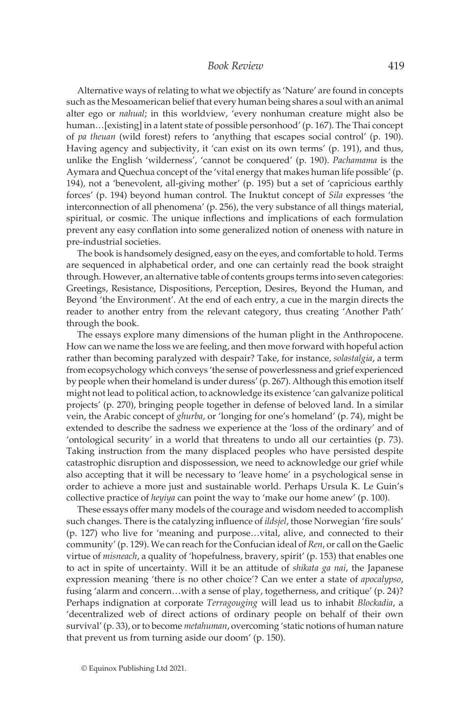Alternative ways of relating to what we objectify as 'Nature' are found in concepts such as the Mesoamerican belief that every human being shares a soul with an animal alter ego or *nahual*; in this worldview, 'every nonhuman creature might also be human…[existing] in a latent state of possible personhood' (p. 167). The Thai concept of *pa theuan* (wild forest) refers to 'anything that escapes social control' (p. 190). Having agency and subjectivity, it 'can exist on its own terms' (p. 191), and thus, unlike the English 'wilderness', 'cannot be conquered' (p. 190). *Pachamama* is the Aymara and Quechua concept of the 'vital energy that makes human life possible' (p. 194), not a 'benevolent, all-giving mother' (p. 195) but a set of 'capricious earthly forces' (p. 194) beyond human control. The Inuktut concept of *Sila* expresses 'the interconnection of all phenomena' (p. 256), the very substance of all things material, spiritual, or cosmic. The unique inflections and implications of each formulation prevent any easy conflation into some generalized notion of oneness with nature in pre-industrial societies.

The book is handsomely designed, easy on the eyes, and comfortable to hold. Terms are sequenced in alphabetical order, and one can certainly read the book straight through. However, an alternative table of contents groups terms into seven categories: Greetings, Resistance, Dispositions, Perception, Desires, Beyond the Human, and Beyond 'the Environment'. At the end of each entry, a cue in the margin directs the reader to another entry from the relevant category, thus creating 'Another Path' through the book.

 The essays explore many dimensions of the human plight in the Anthropocene. How can we name the loss we are feeling, and then move forward with hopeful action rather than becoming paralyzed with despair? Take, for instance, *solastalgia*, a term from ecopsychology which conveys 'the sense of powerlessness and grief experienced by people when their homeland is under duress' (p. 267). Although this emotion itself might not lead to political action, to acknowledge its existence 'can galvanize political projects' (p. 270), bringing people together in defense of beloved land. In a similar vein, the Arabic concept of *ghurba*, or 'longing for one's homeland' (p. 74), might be extended to describe the sadness we experience at the 'loss of the ordinary' and of 'ontological security' in a world that threatens to undo all our certainties (p. 73). Taking instruction from the many displaced peoples who have persisted despite catastrophic disruption and dispossession, we need to acknowledge our grief while also accepting that it will be necessary to 'leave home' in a psychological sense in order to achieve a more just and sustainable world. Perhaps Ursula K. Le Guin's collective practice of *heyiya* can point the way to 'make our home anew' (p. 100).

 These essays offer many models of the courage and wisdom needed to accomplish such changes. There is the catalyzing influence of *ildsjel*, those Norwegian 'fire souls' (p. 127) who live for 'meaning and purpose…vital, alive, and connected to their community' (p. 129). We can reach for the Confucian ideal of *Ren*, or call on the Gaelic virtue of *misneach*, a quality of 'hopefulness, bravery, spirit' (p. 153) that enables one to act in spite of uncertainty. Will it be an attitude of *shikata ga nai*, the Japanese expression meaning 'there is no other choice'? Can we enter a state of *apocalypso*, fusing 'alarm and concern…with a sense of play, togetherness, and critique' (p. 24)? Perhaps indignation at corporate *Terragouging* will lead us to inhabit *Blockadia*, a 'decentralized web of direct actions of ordinary people on behalf of their own survival' (p. 33), or to become *metahuman*, overcoming 'static notions of human nature that prevent us from turning aside our doom' (p. 150).